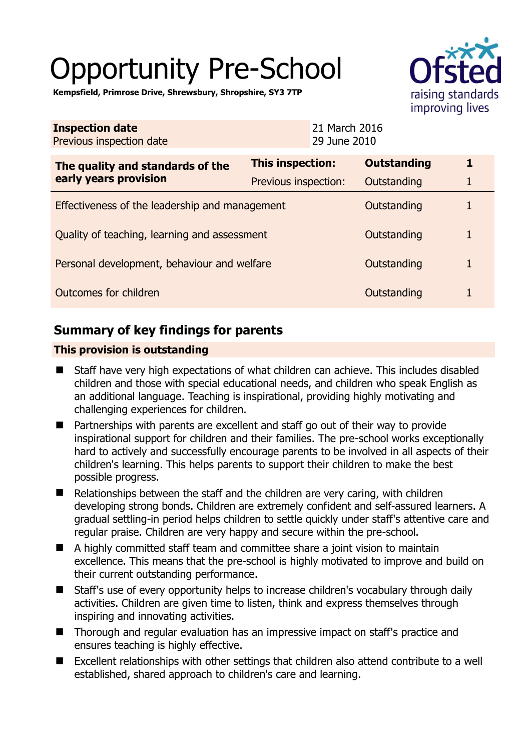# Opportunity Pre-School



**Kempsfield, Primrose Drive, Shrewsbury, Shropshire, SY3 7TP** 

| <b>Inspection date</b><br>Previous inspection date        |                      | 21 March 2016<br>29 June 2010 |                    |   |
|-----------------------------------------------------------|----------------------|-------------------------------|--------------------|---|
| The quality and standards of the<br>early years provision | This inspection:     |                               | <b>Outstanding</b> |   |
|                                                           | Previous inspection: |                               | Outstanding        | 1 |
| Effectiveness of the leadership and management            |                      |                               | Outstanding        |   |
| Quality of teaching, learning and assessment              |                      |                               | Outstanding        |   |
| Personal development, behaviour and welfare               |                      |                               | Outstanding        |   |
| <b>Outcomes for children</b>                              |                      |                               | Outstanding        |   |

# **Summary of key findings for parents**

## **This provision is outstanding**

- Staff have very high expectations of what children can achieve. This includes disabled children and those with special educational needs, and children who speak English as an additional language. Teaching is inspirational, providing highly motivating and challenging experiences for children.
- Partnerships with parents are excellent and staff go out of their way to provide inspirational support for children and their families. The pre-school works exceptionally hard to actively and successfully encourage parents to be involved in all aspects of their children's learning. This helps parents to support their children to make the best possible progress.
- Relationships between the staff and the children are very caring, with children developing strong bonds. Children are extremely confident and self-assured learners. A gradual settling-in period helps children to settle quickly under staff's attentive care and regular praise. Children are very happy and secure within the pre-school.
- A highly committed staff team and committee share a joint vision to maintain excellence. This means that the pre-school is highly motivated to improve and build on their current outstanding performance.
- Staff's use of every opportunity helps to increase children's vocabulary through daily activities. Children are given time to listen, think and express themselves through inspiring and innovating activities.
- Thorough and regular evaluation has an impressive impact on staff's practice and ensures teaching is highly effective.
- Excellent relationships with other settings that children also attend contribute to a well established, shared approach to children's care and learning.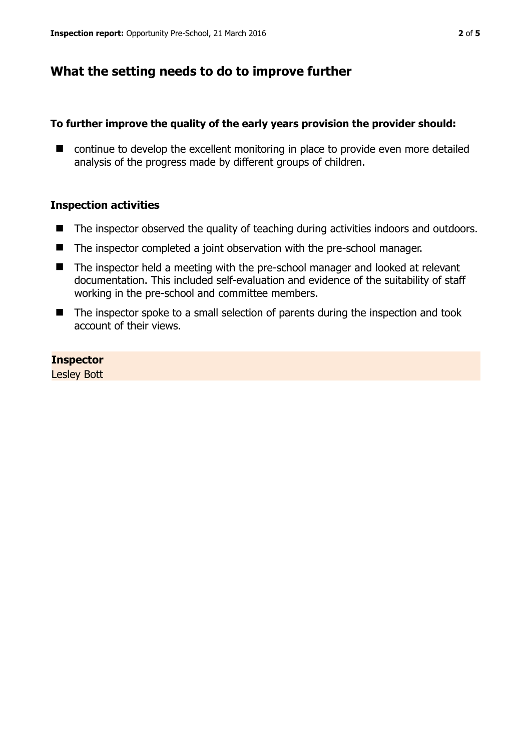# **What the setting needs to do to improve further**

#### **To further improve the quality of the early years provision the provider should:**

■ continue to develop the excellent monitoring in place to provide even more detailed analysis of the progress made by different groups of children.

#### **Inspection activities**

- The inspector observed the quality of teaching during activities indoors and outdoors.
- The inspector completed a joint observation with the pre-school manager.
- The inspector held a meeting with the pre-school manager and looked at relevant documentation. This included self-evaluation and evidence of the suitability of staff working in the pre-school and committee members.
- The inspector spoke to a small selection of parents during the inspection and took account of their views.

**Inspector**  Lesley Bott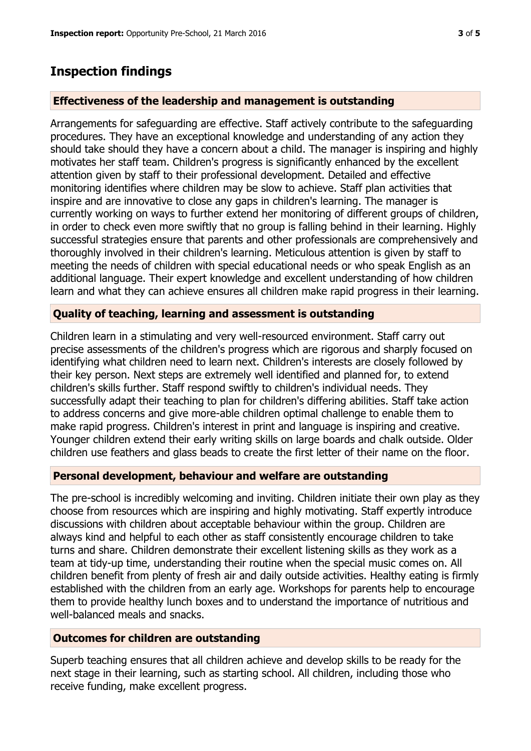# **Inspection findings**

### **Effectiveness of the leadership and management is outstanding**

Arrangements for safeguarding are effective. Staff actively contribute to the safeguarding procedures. They have an exceptional knowledge and understanding of any action they should take should they have a concern about a child. The manager is inspiring and highly motivates her staff team. Children's progress is significantly enhanced by the excellent attention given by staff to their professional development. Detailed and effective monitoring identifies where children may be slow to achieve. Staff plan activities that inspire and are innovative to close any gaps in children's learning. The manager is currently working on ways to further extend her monitoring of different groups of children, in order to check even more swiftly that no group is falling behind in their learning. Highly successful strategies ensure that parents and other professionals are comprehensively and thoroughly involved in their children's learning. Meticulous attention is given by staff to meeting the needs of children with special educational needs or who speak English as an additional language. Their expert knowledge and excellent understanding of how children learn and what they can achieve ensures all children make rapid progress in their learning.

## **Quality of teaching, learning and assessment is outstanding**

Children learn in a stimulating and very well-resourced environment. Staff carry out precise assessments of the children's progress which are rigorous and sharply focused on identifying what children need to learn next. Children's interests are closely followed by their key person. Next steps are extremely well identified and planned for, to extend children's skills further. Staff respond swiftly to children's individual needs. They successfully adapt their teaching to plan for children's differing abilities. Staff take action to address concerns and give more-able children optimal challenge to enable them to make rapid progress. Children's interest in print and language is inspiring and creative. Younger children extend their early writing skills on large boards and chalk outside. Older children use feathers and glass beads to create the first letter of their name on the floor.

#### **Personal development, behaviour and welfare are outstanding**

The pre-school is incredibly welcoming and inviting. Children initiate their own play as they choose from resources which are inspiring and highly motivating. Staff expertly introduce discussions with children about acceptable behaviour within the group. Children are always kind and helpful to each other as staff consistently encourage children to take turns and share. Children demonstrate their excellent listening skills as they work as a team at tidy-up time, understanding their routine when the special music comes on. All children benefit from plenty of fresh air and daily outside activities. Healthy eating is firmly established with the children from an early age. Workshops for parents help to encourage them to provide healthy lunch boxes and to understand the importance of nutritious and well-balanced meals and snacks.

#### **Outcomes for children are outstanding**

Superb teaching ensures that all children achieve and develop skills to be ready for the next stage in their learning, such as starting school. All children, including those who receive funding, make excellent progress.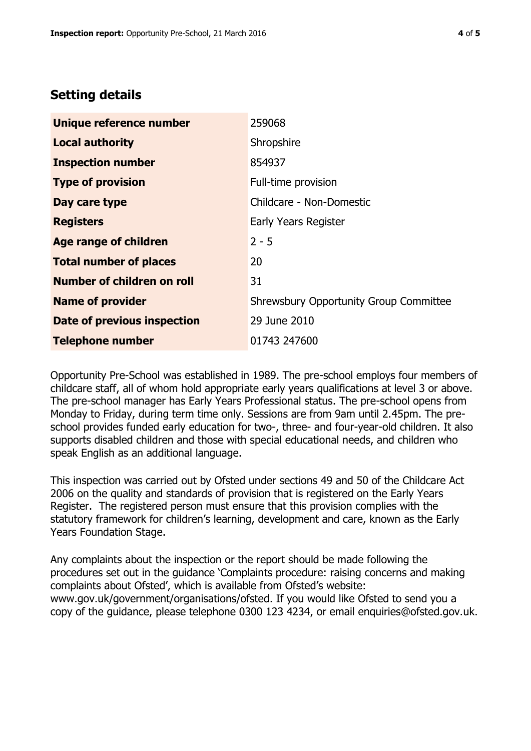## **Setting details**

| Unique reference number       | 259068                                        |  |
|-------------------------------|-----------------------------------------------|--|
| <b>Local authority</b>        | Shropshire                                    |  |
| <b>Inspection number</b>      | 854937                                        |  |
| <b>Type of provision</b>      | Full-time provision                           |  |
| Day care type                 | Childcare - Non-Domestic                      |  |
| <b>Registers</b>              | Early Years Register                          |  |
| Age range of children         | $2 - 5$                                       |  |
| <b>Total number of places</b> | 20                                            |  |
| Number of children on roll    | 31                                            |  |
| <b>Name of provider</b>       | <b>Shrewsbury Opportunity Group Committee</b> |  |
| Date of previous inspection   | 29 June 2010                                  |  |
| <b>Telephone number</b>       | 01743 247600                                  |  |

Opportunity Pre-School was established in 1989. The pre-school employs four members of childcare staff, all of whom hold appropriate early years qualifications at level 3 or above. The pre-school manager has Early Years Professional status. The pre-school opens from Monday to Friday, during term time only. Sessions are from 9am until 2.45pm. The preschool provides funded early education for two-, three- and four-year-old children. It also supports disabled children and those with special educational needs, and children who speak English as an additional language.

This inspection was carried out by Ofsted under sections 49 and 50 of the Childcare Act 2006 on the quality and standards of provision that is registered on the Early Years Register. The registered person must ensure that this provision complies with the statutory framework for children's learning, development and care, known as the Early Years Foundation Stage.

Any complaints about the inspection or the report should be made following the procedures set out in the guidance 'Complaints procedure: raising concerns and making complaints about Ofsted', which is available from Ofsted's website: www.gov.uk/government/organisations/ofsted. If you would like Ofsted to send you a copy of the guidance, please telephone 0300 123 4234, or email enquiries@ofsted.gov.uk.